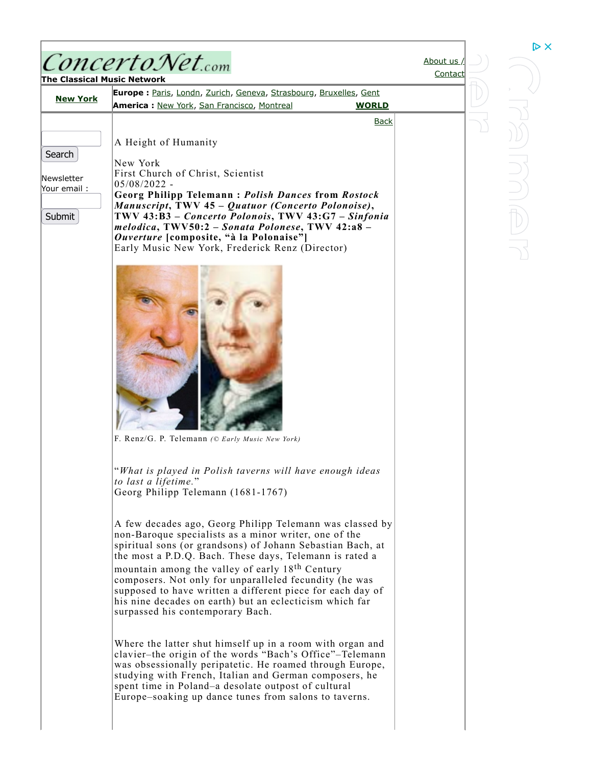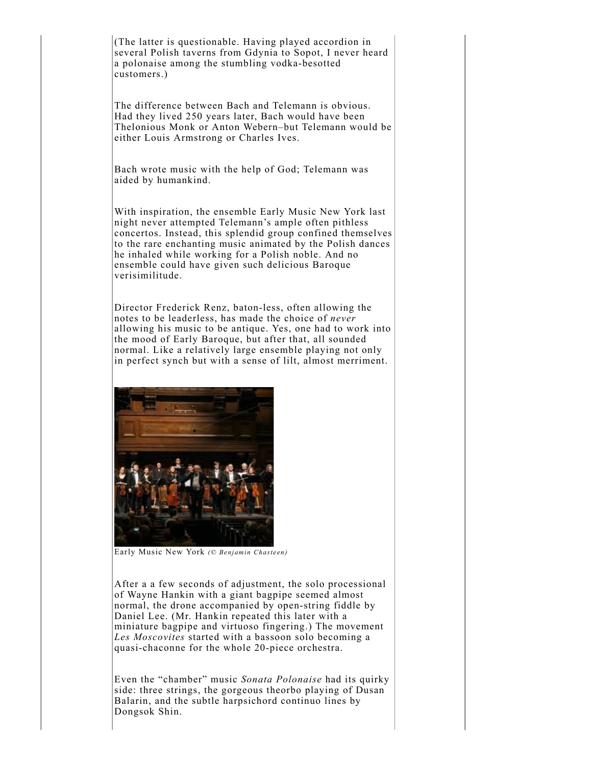(The latter is questionable. Having played accordion in several Polish taverns from Gdynia to Sopot, I never heard a polonaise among the stumbling vodka-besotted customers.)

The difference between Bach and Telemann is obvious. Had they lived 250 years later, Bach would have been Thelonious Monk or Anton Webern–but Telemann would be either Louis Armstrong or Charles Ives.

Bach wrote music with the help of God; Telemann was aided by humankind.

With inspiration, the ensemble Early Music New York last night never attempted Telemann's ample often pithless concertos. Instead, this splendid group confined themselves to the rare enchanting music animated by the Polish dances he inhaled while working for a Polish noble. And no ensemble could have given such delicious Baroque verisimilitude.

Director Frederick Renz, baton-less, often allowing the notes to be leaderless, has made the choice of *never* allowing his music to be antique. Yes, one had to work into the mood of Early Baroque, but after that, all sounded normal. Like a relatively large ensemble playing not only in perfect synch but with a sense of lilt, almost merriment.



Early Music New York *(© Benjamin Chasteen)*

After a a few seconds of adjustment, the solo processional of Wayne Hankin with a giant bagpipe seemed almost normal, the drone accompanied by open-string fiddle by Daniel Lee. (Mr. Hankin repeated this later with a miniature bagpipe and virtuoso fingering.) The movement *Les Moscovites* started with a bassoon solo becoming a quasi-chaconne for the whole 20-piece orchestra.

Even the "chamber" music *Sonata Polonaise* had its quirky side: three strings, the gorgeous theorbo playing of Dusan Balarin, and the subtle harpsichord continuo lines by Dongsok Shin.